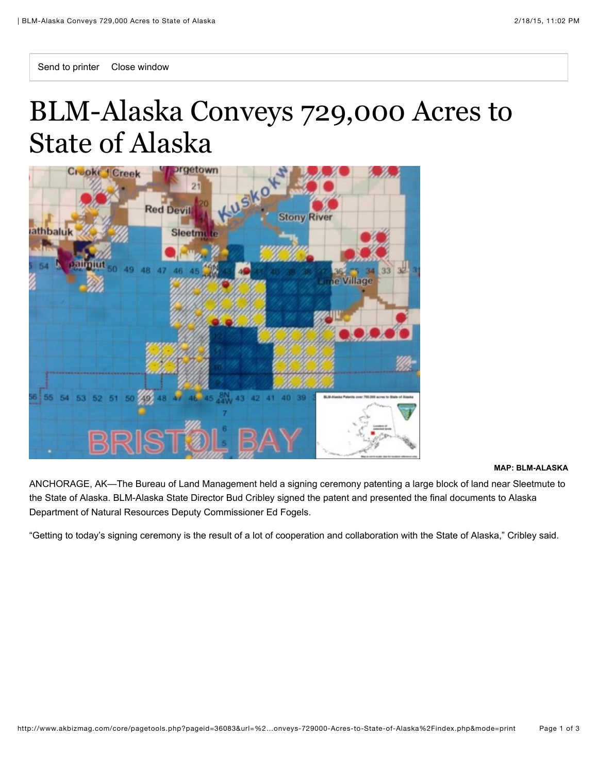## BLM-Alaska Conveys 729,000 Acres to State of Alaska



## **MAP: BLM-ALASKA**

ANCHORAGE, AK—The Bureau of Land Management held a signing ceremony patenting a large block of land near Sleetmute to the State of Alaska. BLM-Alaska State Director Bud Cribley signed the patent and presented the final documents to Alaska Department of Natural Resources Deputy Commissioner Ed Fogels.

"Getting to today's signing ceremony is the result of a lot of cooperation and collaboration with the State of Alaska," Cribley said.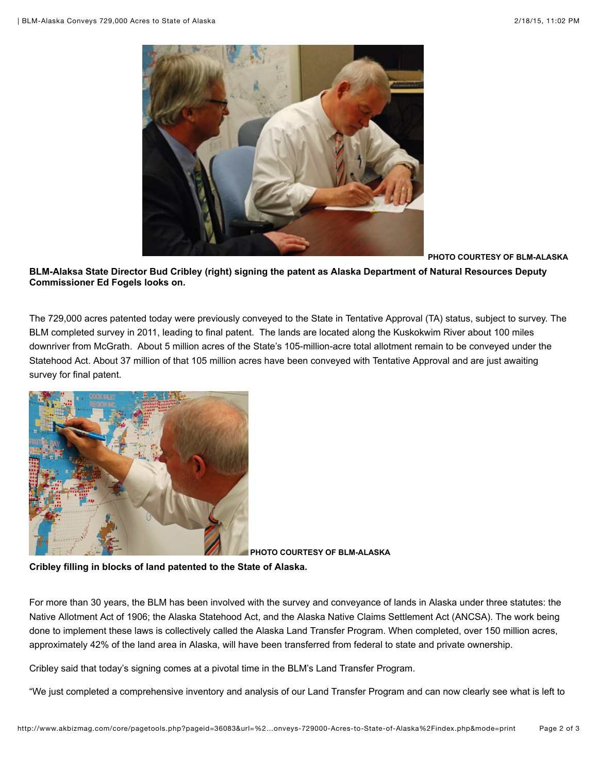

**PHOTO COURTESY OF BLM-ALASKA**

**BLM-Alaksa State Director Bud Cribley (right) signing the patent as Alaska Department of Natural Resources Deputy Commissioner Ed Fogels looks on.**

The 729,000 acres patented today were previously conveyed to the State in Tentative Approval (TA) status, subject to survey. The BLM completed survey in 2011, leading to final patent. The lands are located along the Kuskokwim River about 100 miles downriver from McGrath. About 5 million acres of the State's 105-million-acre total allotment remain to be conveyed under the Statehood Act. About 37 million of that 105 million acres have been conveyed with Tentative Approval and are just awaiting survey for final patent.



 **PHOTO COURTESY OF BLM-ALASKA**

**Cribley filling in blocks of land patented to the State of Alaska.**

For more than 30 years, the BLM has been involved with the survey and conveyance of lands in Alaska under three statutes: the Native Allotment Act of 1906; the Alaska Statehood Act, and the Alaska Native Claims Settlement Act (ANCSA). The work being done to implement these laws is collectively called the Alaska Land Transfer Program. When completed, over 150 million acres, approximately 42% of the land area in Alaska, will have been transferred from federal to state and private ownership.

Cribley said that today's signing comes at a pivotal time in the BLM's Land Transfer Program.

"We just completed a comprehensive inventory and analysis of our Land Transfer Program and can now clearly see what is left to